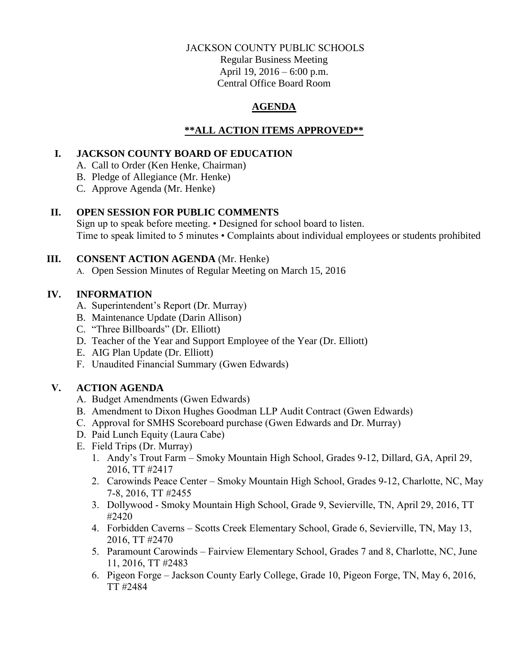### JACKSON COUNTY PUBLIC SCHOOLS

Regular Business Meeting April 19, 2016 – 6:00 p.m. Central Office Board Room

## **AGENDA**

## **\*\*ALL ACTION ITEMS APPROVED\*\***

## **I. JACKSON COUNTY BOARD OF EDUCATION**

A. Call to Order (Ken Henke, Chairman)

B. Pledge of Allegiance (Mr. Henke)

C. Approve Agenda (Mr. Henke)

# **II. OPEN SESSION FOR PUBLIC COMMENTS**

Sign up to speak before meeting. • Designed for school board to listen. Time to speak limited to 5 minutes • Complaints about individual employees or students prohibited

# **III. CONSENT ACTION AGENDA** (Mr. Henke)

A. Open Session Minutes of Regular Meeting on March 15, 2016

# **IV. INFORMATION**

- A. Superintendent's Report (Dr. Murray)
- B. Maintenance Update (Darin Allison)
- C. "Three Billboards" (Dr. Elliott)
- D. Teacher of the Year and Support Employee of the Year (Dr. Elliott)
- E. AIG Plan Update (Dr. Elliott)
- F. Unaudited Financial Summary (Gwen Edwards)

# **V. ACTION AGENDA**

- A. Budget Amendments (Gwen Edwards)
- B. Amendment to Dixon Hughes Goodman LLP Audit Contract (Gwen Edwards)
- C. Approval for SMHS Scoreboard purchase (Gwen Edwards and Dr. Murray)
- D. Paid Lunch Equity (Laura Cabe)
- E. Field Trips (Dr. Murray)
	- 1. Andy's Trout Farm Smoky Mountain High School, Grades 9-12, Dillard, GA, April 29, 2016, TT #2417
	- 2. Carowinds Peace Center Smoky Mountain High School, Grades 9-12, Charlotte, NC, May 7-8, 2016, TT #2455
	- 3. Dollywood Smoky Mountain High School, Grade 9, Sevierville, TN, April 29, 2016, TT #2420
	- 4. Forbidden Caverns Scotts Creek Elementary School, Grade 6, Sevierville, TN, May 13, 2016, TT #2470
	- 5. Paramount Carowinds Fairview Elementary School, Grades 7 and 8, Charlotte, NC, June 11, 2016, TT #2483
	- 6. Pigeon Forge Jackson County Early College, Grade 10, Pigeon Forge, TN, May 6, 2016, TT #2484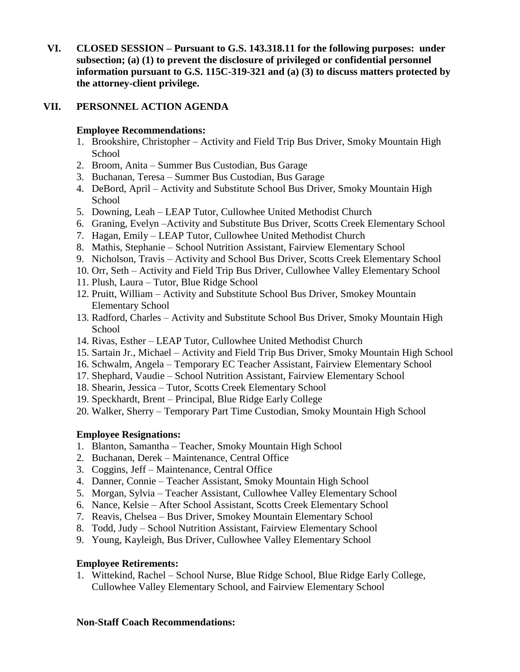**VI. CLOSED SESSION – Pursuant to G.S. 143.318.11 for the following purposes: under subsection; (a) (1) to prevent the disclosure of privileged or confidential personnel information pursuant to G.S. 115C-319-321 and (a) (3) to discuss matters protected by the attorney-client privilege.**

## **VII. PERSONNEL ACTION AGENDA**

### **Employee Recommendations:**

- 1. Brookshire, Christopher Activity and Field Trip Bus Driver, Smoky Mountain High School
- 2. Broom, Anita Summer Bus Custodian, Bus Garage
- 3. Buchanan, Teresa Summer Bus Custodian, Bus Garage
- 4. DeBord, April Activity and Substitute School Bus Driver, Smoky Mountain High School
- 5. Downing, Leah LEAP Tutor, Cullowhee United Methodist Church
- 6. Graning, Evelyn –Activity and Substitute Bus Driver, Scotts Creek Elementary School
- 7. Hagan, Emily LEAP Tutor, Cullowhee United Methodist Church
- 8. Mathis, Stephanie School Nutrition Assistant, Fairview Elementary School
- 9. Nicholson, Travis Activity and School Bus Driver, Scotts Creek Elementary School
- 10. Orr, Seth Activity and Field Trip Bus Driver, Cullowhee Valley Elementary School
- 11. Plush, Laura Tutor, Blue Ridge School
- 12. Pruitt, William Activity and Substitute School Bus Driver, Smokey Mountain Elementary School
- 13. Radford, Charles Activity and Substitute School Bus Driver, Smoky Mountain High School
- 14. Rivas, Esther LEAP Tutor, Cullowhee United Methodist Church
- 15. Sartain Jr., Michael Activity and Field Trip Bus Driver, Smoky Mountain High School
- 16. Schwalm, Angela Temporary EC Teacher Assistant, Fairview Elementary School
- 17. Shephard, Vaudie School Nutrition Assistant, Fairview Elementary School
- 18. Shearin, Jessica Tutor, Scotts Creek Elementary School
- 19. Speckhardt, Brent Principal, Blue Ridge Early College
- 20. Walker, Sherry Temporary Part Time Custodian, Smoky Mountain High School

# **Employee Resignations:**

- 1. Blanton, Samantha Teacher, Smoky Mountain High School
- 2. Buchanan, Derek Maintenance, Central Office
- 3. Coggins, Jeff Maintenance, Central Office
- 4. Danner, Connie Teacher Assistant, Smoky Mountain High School
- 5. Morgan, Sylvia Teacher Assistant, Cullowhee Valley Elementary School
- 6. Nance, Kelsie After School Assistant, Scotts Creek Elementary School
- 7. Reavis, Chelsea Bus Driver, Smokey Mountain Elementary School
- 8. Todd, Judy School Nutrition Assistant, Fairview Elementary School
- 9. Young, Kayleigh, Bus Driver, Cullowhee Valley Elementary School

### **Employee Retirements:**

1. Wittekind, Rachel – School Nurse, Blue Ridge School, Blue Ridge Early College, Cullowhee Valley Elementary School, and Fairview Elementary School

### **Non-Staff Coach Recommendations:**